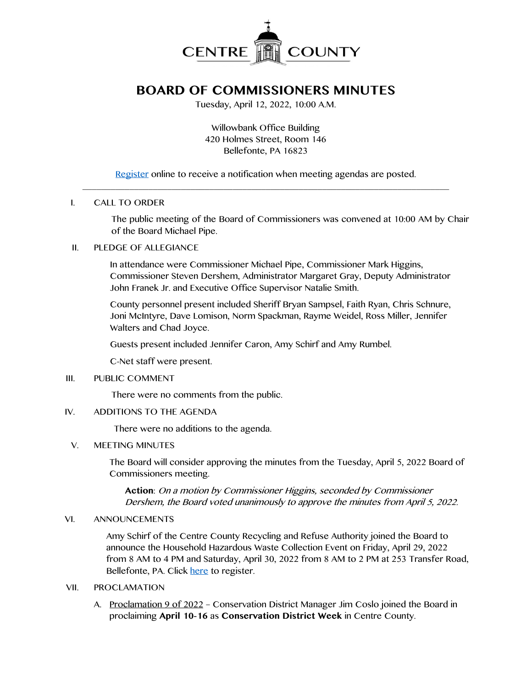

# **BOARD OF COMMISSIONERS MINUTES**

Tuesday, April 12, 2022, 10:00 A.M.

Willowbank Office Building 420 Holmes Street, Room 146 Bellefonte, PA 16823

[Register](http://www.centrecountypa.gov/AgendaCenter) online to receive a notification when meeting agendas are posted. \_\_\_\_\_\_\_\_\_\_\_\_\_\_\_\_\_\_\_\_\_\_\_\_\_\_\_\_\_\_\_\_\_\_\_\_\_\_\_\_\_\_\_\_\_\_\_\_\_\_\_\_\_\_\_\_\_\_\_\_\_\_\_\_\_\_\_\_\_\_\_\_\_\_\_\_\_\_

## I. CALL TO ORDER

The public meeting of the Board of Commissioners was convened at 10:00 AM by Chair of the Board Michael Pipe.

## II. PLEDGE OF ALLEGIANCE

In attendance were Commissioner Michael Pipe, Commissioner Mark Higgins, Commissioner Steven Dershem, Administrator Margaret Gray, Deputy Administrator John Franek Jr. and Executive Office Supervisor Natalie Smith.

County personnel present included Sheriff Bryan Sampsel, Faith Ryan, Chris Schnure, Joni McIntyre, Dave Lomison, Norm Spackman, Rayme Weidel, Ross Miller, Jennifer Walters and Chad Joyce.

Guests present included Jennifer Caron, Amy Schirf and Amy Rumbel.

C-Net staff were present.

#### III. PUBLIC COMMENT

There were no comments from the public.

#### IV. ADDITIONS TO THE AGENDA

There were no additions to the agenda.

#### V. MEETING MINUTES

The Board will consider approving the minutes from the Tuesday, April 5, 2022 Board of Commissioners meeting.

**Action**: On a motion by Commissioner Higgins, seconded by Commissioner Dershem, the Board voted unanimously to approve the minutes from April 5, 2022.

#### VI. ANNOUNCEMENTS

Amy Schirf of the Centre County Recycling and Refuse Authority joined the Board to announce the Household Hazardous Waste Collection Event on Friday, April 29, 2022 from 8 AM to 4 PM and Saturday, April 30, 2022 from 8 AM to 2 PM at 253 Transfer Road, Bellefonte, PA. Click [here](https://www.eventbrite.com/e/household-hazardous-waste-collection-event-april-29-30-2022-tickets-244535872377) to register.

# VII. PROCLAMATION

A. Proclamation 9 of 2022 – Conservation District Manager Jim Coslo joined the Board in proclaiming **April 10-16** as **Conservation District Week** in Centre County.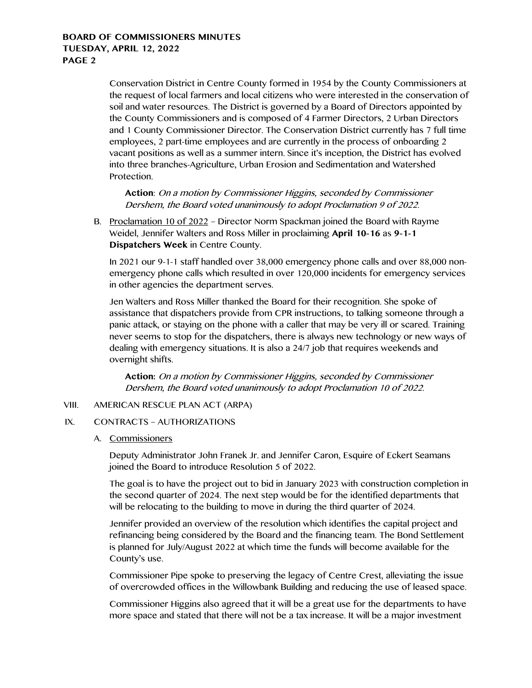# **BOARD OF COMMISSIONERS MINUTES TUESDAY, APRIL 12, 2022 PAGE 2**

Conservation District in Centre County formed in 1954 by the County Commissioners at the request of local farmers and local citizens who were interested in the conservation of soil and water resources. The District is governed by a Board of Directors appointed by the County Commissioners and is composed of 4 Farmer Directors, 2 Urban Directors and 1 County Commissioner Director. The Conservation District currently has 7 full time employees, 2 part-time employees and are currently in the process of onboarding 2 vacant positions as well as a summer intern. Since it's inception, the District has evolved into three branches-Agriculture, Urban Erosion and Sedimentation and Watershed Protection.

**Action**: On a motion by Commissioner Higgins, seconded by Commissioner Dershem, the Board voted unanimously to adopt Proclamation 9 of 2022.

B. Proclamation 10 of 2022 – Director Norm Spackman joined the Board with Rayme Weidel, Jennifer Walters and Ross Miller in proclaiming **April 10-16** as **9-1-1 Dispatchers Week** in Centre County.

In 2021 our 9-1-1 staff handled over 38,000 emergency phone calls and over 88,000 nonemergency phone calls which resulted in over 120,000 incidents for emergency services in other agencies the department serves.

Jen Walters and Ross Miller thanked the Board for their recognition. She spoke of assistance that dispatchers provide from CPR instructions, to talking someone through a panic attack, or staying on the phone with a caller that may be very ill or scared. Training never seems to stop for the dispatchers, there is always new technology or new ways of dealing with emergency situations. It is also a 24/7 job that requires weekends and overnight shifts.

**Action:** On a motion by Commissioner Higgins, seconded by Commissioner Dershem, the Board voted unanimously to adopt Proclamation 10 of 2022.

# VIII. AMERICAN RESCUE PLAN ACT (ARPA)

#### IX. CONTRACTS – AUTHORIZATIONS

A. Commissioners

Deputy Administrator John Franek Jr. and Jennifer Caron, Esquire of Eckert Seamans joined the Board to introduce Resolution 5 of 2022.

The goal is to have the project out to bid in January 2023 with construction completion in the second quarter of 2024. The next step would be for the identified departments that will be relocating to the building to move in during the third quarter of 2024.

Jennifer provided an overview of the resolution which identifies the capital project and refinancing being considered by the Board and the financing team. The Bond Settlement is planned for July/August 2022 at which time the funds will become available for the County's use.

Commissioner Pipe spoke to preserving the legacy of Centre Crest, alleviating the issue of overcrowded offices in the Willowbank Building and reducing the use of leased space.

Commissioner Higgins also agreed that it will be a great use for the departments to have more space and stated that there will not be a tax increase. It will be a major investment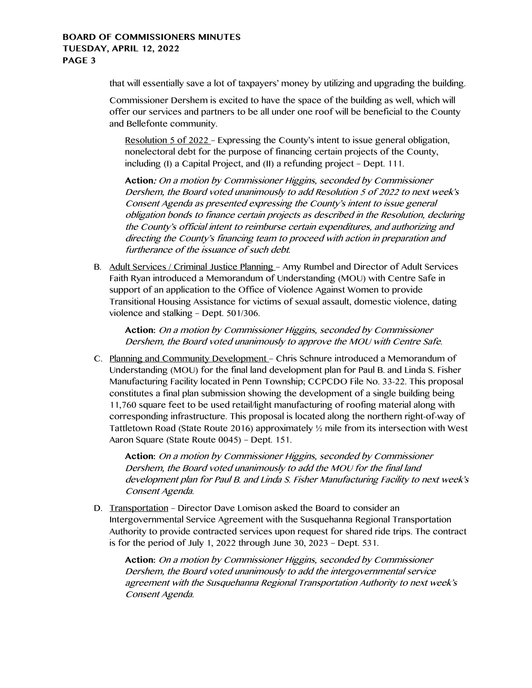# **BOARD OF COMMISSIONERS MINUTES TUESDAY, APRIL 12, 2022 PAGE 3**

that will essentially save a lot of taxpayers' money by utilizing and upgrading the building.

Commissioner Dershem is excited to have the space of the building as well, which will offer our services and partners to be all under one roof will be beneficial to the County and Bellefonte community.

Resolution 5 of 2022 – Expressing the County's intent to issue general obligation, nonelectoral debt for the purpose of financing certain projects of the County, including (I) a Capital Project, and (II) a refunding project – Dept. 111.

**Action**: On a motion by Commissioner Higgins, seconded by Commissioner Dershem, the Board voted unanimously to add Resolution 5 of 2022 to next week's Consent Agenda as presented expressing the County's intent to issue general obligation bonds to finance certain projects as described in the Resolution, declaring the County's official intent to reimburse certain expenditures, and authorizing and directing the County's financing team to proceed with action in preparation and furtherance of the issuance of such debt.

B. Adult Services / Criminal Justice Planning – Amy Rumbel and Director of Adult Services Faith Ryan introduced a Memorandum of Understanding (MOU) with Centre Safe in support of an application to the Office of Violence Against Women to provide Transitional Housing Assistance for victims of sexual assault, domestic violence, dating violence and stalking – Dept. 501/306.

**Action:** On a motion by Commissioner Higgins, seconded by Commissioner Dershem, the Board voted unanimously to approve the MOU with Centre Safe.

C. Planning and Community Development – Chris Schnure introduced a Memorandum of Understanding (MOU) for the final land development plan for Paul B. and Linda S. Fisher Manufacturing Facility located in Penn Township; CCPCDO File No. 33-22. This proposal constitutes a final plan submission showing the development of a single building being 11,760 square feet to be used retail/light manufacturing of roofing material along with corresponding infrastructure. This proposal is located along the northern right-of-way of Tattletown Road (State Route 2016) approximately ½ mile from its intersection with West Aaron Square (State Route 0045) – Dept. 151.

**Action:** On a motion by Commissioner Higgins, seconded by Commissioner Dershem, the Board voted unanimously to add the MOU for the final land development plan for Paul B. and Linda S. Fisher Manufacturing Facility to next week's Consent Agenda.

D. Transportation – Director Dave Lomison asked the Board to consider an Intergovernmental Service Agreement with the Susquehanna Regional Transportation Authority to provide contracted services upon request for shared ride trips. The contract is for the period of July 1, 2022 through June 30, 2023 – Dept. 531.

**Action:** On a motion by Commissioner Higgins, seconded by Commissioner Dershem, the Board voted unanimously to add the intergovernmental service agreement with the Susquehanna Regional Transportation Authority to next week's Consent Agenda.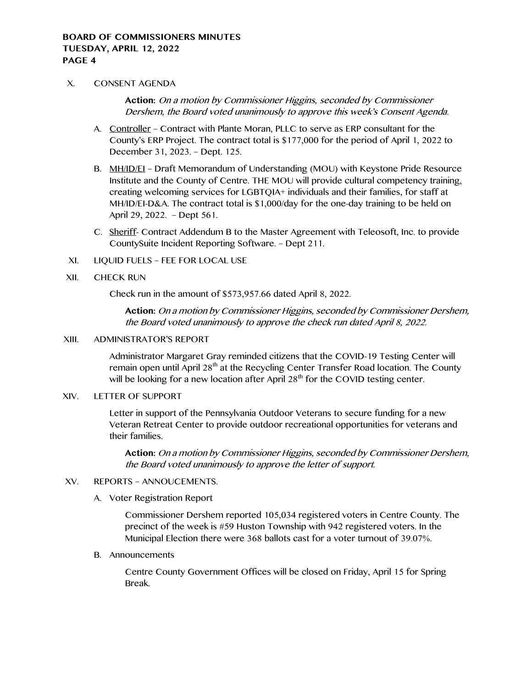#### X. CONSENT AGENDA

**Action:** On a motion by Commissioner Higgins, seconded by Commissioner Dershem, the Board voted unanimously to approve this week's Consent Agenda.

- A. Controller Contract with Plante Moran, PLLC to serve as ERP consultant for the County's ERP Project. The contract total is \$177,000 for the period of April 1, 2022 to December 31, 2023. – Dept. 125.
- B. MH/ID/EI Draft Memorandum of Understanding (MOU) with Keystone Pride Resource Institute and the County of Centre. THE MOU will provide cultural competency training, creating welcoming services for LGBTQIA+ individuals and their families, for staff at MH/ID/EI-D&A. The contract total is \$1,000/day for the one-day training to be held on April 29, 2022. – Dept 561.
- C. Sheriff- Contract Addendum B to the Master Agreement with Teleosoft, Inc. to provide CountySuite Incident Reporting Software. – Dept 211.
- XI. LIQUID FUELS FEE FOR LOCAL USE

#### XII. CHECK RUN

Check run in the amount of \$573,957.66 dated April 8, 2022.

**Action:** On a motion by Commissioner Higgins, seconded by Commissioner Dershem, the Board voted unanimously to approve the check run dated April 8, 2022.

# XIII. ADMINISTRATOR'S REPORT

Administrator Margaret Gray reminded citizens that the COVID-19 Testing Center will remain open until April  $28<sup>th</sup>$  at the Recycling Center Transfer Road location. The County will be looking for a new location after April  $28<sup>th</sup>$  for the COVID testing center.

### XIV. LETTER OF SUPPORT

Letter in support of the Pennsylvania Outdoor Veterans to secure funding for a new Veteran Retreat Center to provide outdoor recreational opportunities for veterans and their families.

**Action:** On a motion by Commissioner Higgins, seconded by Commissioner Dershem, the Board voted unanimously to approve the letter of support.

#### XV. REPORTS – ANNOUCEMENTS.

A. Voter Registration Report

Commissioner Dershem reported 105,034 registered voters in Centre County. The precinct of the week is #59 Huston Township with 942 registered voters. In the Municipal Election there were 368 ballots cast for a voter turnout of 39.07%.

B. Announcements

Centre County Government Offices will be closed on Friday, April 15 for Spring Break.